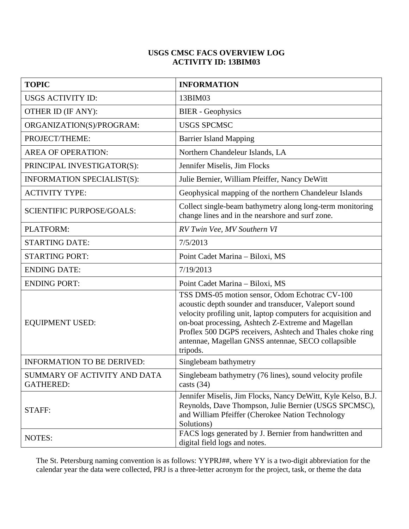## **USGS CMSC FACS OVERVIEW LOG ACTIVITY ID: 13BIM03**

| <b>TOPIC</b>                                     | <b>INFORMATION</b>                                                                                                                                                                                                                                                                                                                                            |
|--------------------------------------------------|---------------------------------------------------------------------------------------------------------------------------------------------------------------------------------------------------------------------------------------------------------------------------------------------------------------------------------------------------------------|
| <b>USGS ACTIVITY ID:</b>                         | 13BIM03                                                                                                                                                                                                                                                                                                                                                       |
| OTHER ID (IF ANY):                               | <b>BIER</b> - Geophysics                                                                                                                                                                                                                                                                                                                                      |
| ORGANIZATION(S)/PROGRAM:                         | <b>USGS SPCMSC</b>                                                                                                                                                                                                                                                                                                                                            |
| PROJECT/THEME:                                   | <b>Barrier Island Mapping</b>                                                                                                                                                                                                                                                                                                                                 |
| <b>AREA OF OPERATION:</b>                        | Northern Chandeleur Islands, LA                                                                                                                                                                                                                                                                                                                               |
| PRINCIPAL INVESTIGATOR(S):                       | Jennifer Miselis, Jim Flocks                                                                                                                                                                                                                                                                                                                                  |
| INFORMATION SPECIALIST(S):                       | Julie Bernier, William Pfeiffer, Nancy DeWitt                                                                                                                                                                                                                                                                                                                 |
| <b>ACTIVITY TYPE:</b>                            | Geophysical mapping of the northern Chandeleur Islands                                                                                                                                                                                                                                                                                                        |
| <b>SCIENTIFIC PURPOSE/GOALS:</b>                 | Collect single-beam bathymetry along long-term monitoring<br>change lines and in the nearshore and surf zone.                                                                                                                                                                                                                                                 |
| PLATFORM:                                        | RV Twin Vee, MV Southern VI                                                                                                                                                                                                                                                                                                                                   |
| <b>STARTING DATE:</b>                            | 7/5/2013                                                                                                                                                                                                                                                                                                                                                      |
| <b>STARTING PORT:</b>                            | Point Cadet Marina - Biloxi, MS                                                                                                                                                                                                                                                                                                                               |
| <b>ENDING DATE:</b>                              | 7/19/2013                                                                                                                                                                                                                                                                                                                                                     |
| <b>ENDING PORT:</b>                              | Point Cadet Marina - Biloxi, MS                                                                                                                                                                                                                                                                                                                               |
| <b>EQUIPMENT USED:</b>                           | TSS DMS-05 motion sensor, Odom Echotrac CV-100<br>acoustic depth sounder and transducer, Valeport sound<br>velocity profiling unit, laptop computers for acquisition and<br>on-boat processing, Ashtech Z-Extreme and Magellan<br>Proflex 500 DGPS receivers, Ashtech and Thales choke ring<br>antennae, Magellan GNSS antennae, SECO collapsible<br>tripods. |
| <b>INFORMATION TO BE DERIVED:</b>                | Singlebeam bathymetry                                                                                                                                                                                                                                                                                                                                         |
| SUMMARY OF ACTIVITY AND DATA<br><b>GATHERED:</b> | Singlebeam bathymetry (76 lines), sound velocity profile<br>casts $(34)$                                                                                                                                                                                                                                                                                      |
| STAFF:                                           | Jennifer Miselis, Jim Flocks, Nancy DeWitt, Kyle Kelso, B.J.<br>Reynolds, Dave Thompson, Julie Bernier (USGS SPCMSC),<br>and William Pfeiffer (Cherokee Nation Technology<br>Solutions)                                                                                                                                                                       |
| <b>NOTES:</b>                                    | FACS logs generated by J. Bernier from handwritten and<br>digital field logs and notes.                                                                                                                                                                                                                                                                       |

The St. Petersburg naming convention is as follows: YYPRJ##, where YY is a two-digit abbreviation for the calendar year the data were collected, PRJ is a three-letter acronym for the project, task, or theme the data